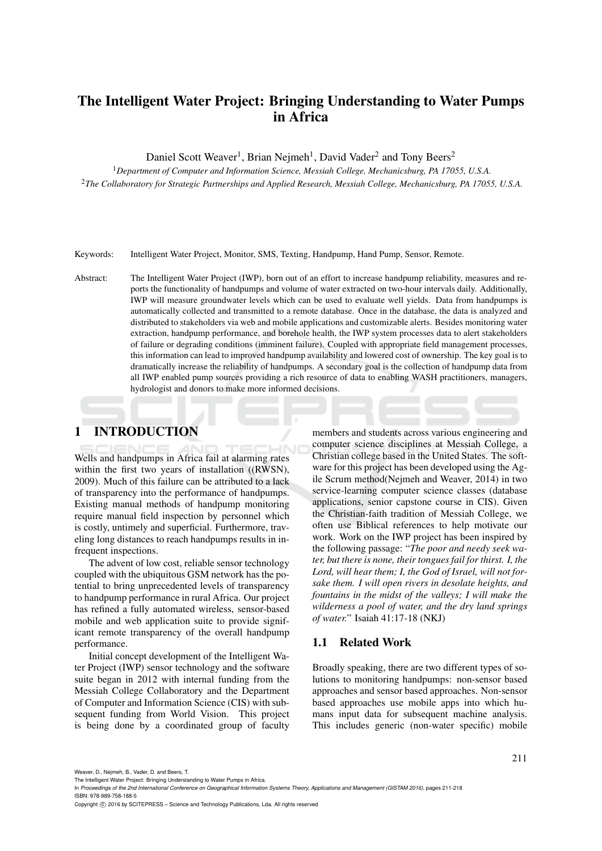# The Intelligent Water Project: Bringing Understanding to Water Pumps in Africa

Daniel Scott Weaver<sup>1</sup>, Brian Nejmeh<sup>1</sup>, David Vader<sup>2</sup> and Tony Beers<sup>2</sup>

<sup>1</sup>*Department of Computer and Information Science, Messiah College, Mechanicsburg, PA 17055, U.S.A.* <sup>2</sup>*The Collaboratory for Strategic Partnerships and Applied Research, Messiah College, Mechanicsburg, PA 17055, U.S.A.*

Keywords: Intelligent Water Project, Monitor, SMS, Texting, Handpump, Hand Pump, Sensor, Remote.

Abstract: The Intelligent Water Project (IWP), born out of an effort to increase handpump reliability, measures and reports the functionality of handpumps and volume of water extracted on two-hour intervals daily. Additionally, IWP will measure groundwater levels which can be used to evaluate well yields. Data from handpumps is automatically collected and transmitted to a remote database. Once in the database, the data is analyzed and distributed to stakeholders via web and mobile applications and customizable alerts. Besides monitoring water extraction, handpump performance, and borehole health, the IWP system processes data to alert stakeholders of failure or degrading conditions (imminent failure). Coupled with appropriate field management processes, this information can lead to improved handpump availability and lowered cost of ownership. The key goal is to dramatically increase the reliability of handpumps. A secondary goal is the collection of handpump data from all IWP enabled pump sources providing a rich resource of data to enabling WASH practitioners, managers, hydrologist and donors to make more informed decisions.

# 1 INTRODUCTION

Wells and handpumps in Africa fail at alarming rates within the first two years of installation ((RWSN), 2009). Much of this failure can be attributed to a lack of transparency into the performance of handpumps. Existing manual methods of handpump monitoring require manual field inspection by personnel which is costly, untimely and superficial. Furthermore, traveling long distances to reach handpumps results in infrequent inspections.

The advent of low cost, reliable sensor technology coupled with the ubiquitous GSM network has the potential to bring unprecedented levels of transparency to handpump performance in rural Africa. Our project has refined a fully automated wireless, sensor-based mobile and web application suite to provide significant remote transparency of the overall handpump performance.

Initial concept development of the Intelligent Water Project (IWP) sensor technology and the software suite began in 2012 with internal funding from the Messiah College Collaboratory and the Department of Computer and Information Science (CIS) with subsequent funding from World Vision. This project is being done by a coordinated group of faculty

members and students across various engineering and computer science disciplines at Messiah College, a Christian college based in the United States. The software for this project has been developed using the Agile Scrum method(Nejmeh and Weaver, 2014) in two service-learning computer science classes (database applications, senior capstone course in CIS). Given the Christian-faith tradition of Messiah College, we often use Biblical references to help motivate our work. Work on the IWP project has been inspired by the following passage: "*The poor and needy seek water, but there is none, their tongues fail for thirst. I, the Lord, will hear them; I, the God of Israel, will not forsake them. I will open rivers in desolate heights, and fountains in the midst of the valleys; I will make the wilderness a pool of water, and the dry land springs of water.*" Isaiah 41:17-18 (NKJ)

#### 1.1 Related Work

Broadly speaking, there are two different types of solutions to monitoring handpumps: non-sensor based approaches and sensor based approaches. Non-sensor based approaches use mobile apps into which humans input data for subsequent machine analysis. This includes generic (non-water specific) mobile

Copyright (C) 2016 by SCITEPRESS - Science and Technology Publications, Lda. All rights reserved

The Intelligent Water Project: Bringing Understanding to Water Pumps in Africa.

In *Proceedings of the 2nd International Conference on Geographical Information Systems Theory, Applications and Management (GISTAM 2016)*, pages 211-218 ISBN: 978-989-758-188-5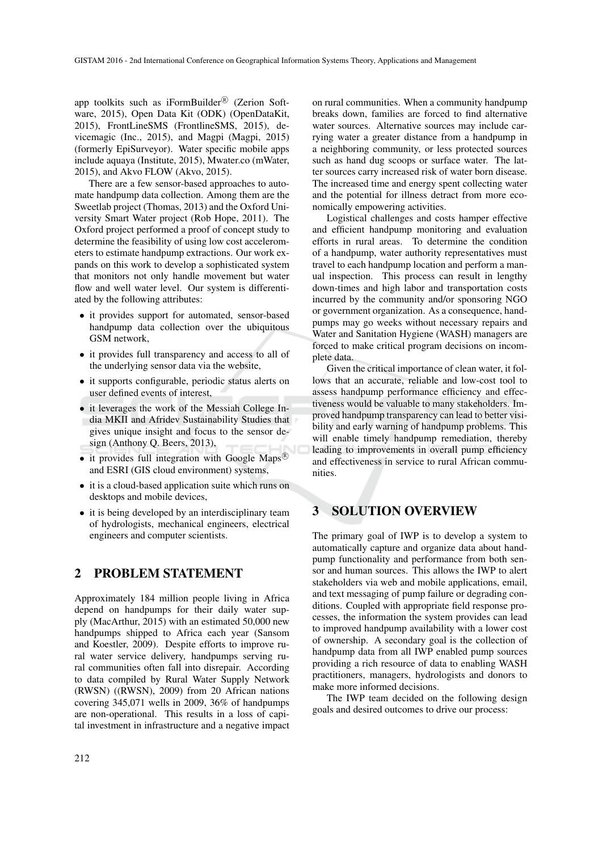app toolkits such as iFormBuilder<sup>®</sup> (Zerion Software, 2015), Open Data Kit (ODK) (OpenDataKit, 2015), FrontLineSMS (FrontlineSMS, 2015), devicemagic (Inc., 2015), and Magpi (Magpi, 2015) (formerly EpiSurveyor). Water specific mobile apps include aquaya (Institute, 2015), Mwater.co (mWater, 2015), and Akvo FLOW (Akvo, 2015).

There are a few sensor-based approaches to automate handpump data collection. Among them are the Sweetlab project (Thomas, 2013) and the Oxford University Smart Water project (Rob Hope, 2011). The Oxford project performed a proof of concept study to determine the feasibility of using low cost accelerometers to estimate handpump extractions. Our work expands on this work to develop a sophisticated system that monitors not only handle movement but water flow and well water level. Our system is differentiated by the following attributes:

- it provides support for automated, sensor-based handpump data collection over the ubiquitous GSM network,
- it provides full transparency and access to all of the underlying sensor data via the website,
- it supports configurable, periodic status alerts on user defined events of interest,
- it leverages the work of the Messiah College India MKII and Afridev Sustainability Studies that gives unique insight and focus to the sensor design (Anthony Q. Beers, 2013),
- it provides full integration with Google Maps<sup>®</sup> and ESRI (GIS cloud environment) systems,
- it is a cloud-based application suite which runs on desktops and mobile devices,
- it is being developed by an interdisciplinary team of hydrologists, mechanical engineers, electrical engineers and computer scientists.

## 2 PROBLEM STATEMENT

Approximately 184 million people living in Africa depend on handpumps for their daily water supply (MacArthur, 2015) with an estimated 50,000 new handpumps shipped to Africa each year (Sansom and Koestler, 2009). Despite efforts to improve rural water service delivery, handpumps serving rural communities often fall into disrepair. According to data compiled by Rural Water Supply Network (RWSN) ((RWSN), 2009) from 20 African nations covering 345,071 wells in 2009, 36% of handpumps are non-operational. This results in a loss of capital investment in infrastructure and a negative impact

on rural communities. When a community handpump breaks down, families are forced to find alternative water sources. Alternative sources may include carrying water a greater distance from a handpump in a neighboring community, or less protected sources such as hand dug scoops or surface water. The latter sources carry increased risk of water born disease. The increased time and energy spent collecting water and the potential for illness detract from more economically empowering activities.

Logistical challenges and costs hamper effective and efficient handpump monitoring and evaluation efforts in rural areas. To determine the condition of a handpump, water authority representatives must travel to each handpump location and perform a manual inspection. This process can result in lengthy down-times and high labor and transportation costs incurred by the community and/or sponsoring NGO or government organization. As a consequence, handpumps may go weeks without necessary repairs and Water and Sanitation Hygiene (WASH) managers are forced to make critical program decisions on incomplete data.

Given the critical importance of clean water, it follows that an accurate, reliable and low-cost tool to assess handpump performance efficiency and effectiveness would be valuable to many stakeholders. Improved handpump transparency can lead to better visibility and early warning of handpump problems. This will enable timely handpump remediation, thereby leading to improvements in overall pump efficiency and effectiveness in service to rural African communities.

## 3 SOLUTION OVERVIEW

The primary goal of IWP is to develop a system to automatically capture and organize data about handpump functionality and performance from both sensor and human sources. This allows the IWP to alert stakeholders via web and mobile applications, email, and text messaging of pump failure or degrading conditions. Coupled with appropriate field response processes, the information the system provides can lead to improved handpump availability with a lower cost of ownership. A secondary goal is the collection of handpump data from all IWP enabled pump sources providing a rich resource of data to enabling WASH practitioners, managers, hydrologists and donors to make more informed decisions.

The IWP team decided on the following design goals and desired outcomes to drive our process: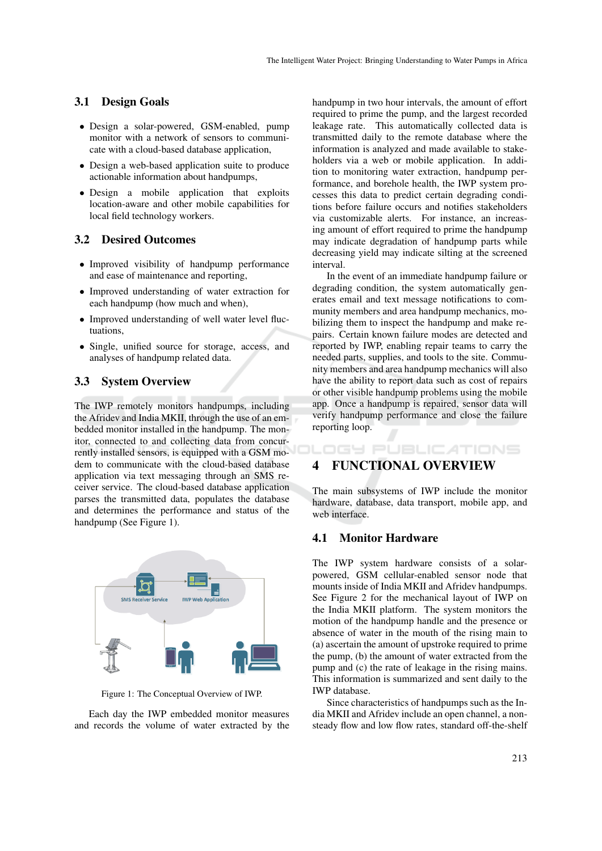#### 3.1 Design Goals

- Design a solar-powered, GSM-enabled, pump monitor with a network of sensors to communicate with a cloud-based database application,
- Design a web-based application suite to produce actionable information about handpumps,
- Design a mobile application that exploits location-aware and other mobile capabilities for local field technology workers.

## 3.2 Desired Outcomes

- Improved visibility of handpump performance and ease of maintenance and reporting,
- Improved understanding of water extraction for each handpump (how much and when),
- Improved understanding of well water level fluctuations,
- Single, unified source for storage, access, and analyses of handpump related data.

## 3.3 System Overview

The IWP remotely monitors handpumps, including the Afridev and India MKII, through the use of an embedded monitor installed in the handpump. The monitor, connected to and collecting data from concurrently installed sensors, is equipped with a GSM modem to communicate with the cloud-based database application via text messaging through an SMS receiver service. The cloud-based database application parses the transmitted data, populates the database and determines the performance and status of the handpump (See Figure 1).



Figure 1: The Conceptual Overview of IWP.

Each day the IWP embedded monitor measures and records the volume of water extracted by the handpump in two hour intervals, the amount of effort required to prime the pump, and the largest recorded leakage rate. This automatically collected data is transmitted daily to the remote database where the information is analyzed and made available to stakeholders via a web or mobile application. In addition to monitoring water extraction, handpump performance, and borehole health, the IWP system processes this data to predict certain degrading conditions before failure occurs and notifies stakeholders via customizable alerts. For instance, an increasing amount of effort required to prime the handpump may indicate degradation of handpump parts while decreasing yield may indicate silting at the screened interval.

In the event of an immediate handpump failure or degrading condition, the system automatically generates email and text message notifications to community members and area handpump mechanics, mobilizing them to inspect the handpump and make repairs. Certain known failure modes are detected and reported by IWP, enabling repair teams to carry the needed parts, supplies, and tools to the site. Community members and area handpump mechanics will also have the ability to report data such as cost of repairs or other visible handpump problems using the mobile app. Once a handpump is repaired, sensor data will verify handpump performance and close the failure reporting loop.

**DGY PUBLICATIONS** 4 FUNCTIONAL OVERVIEW

The main subsystems of IWP include the monitor hardware, database, data transport, mobile app, and web interface.

## 4.1 Monitor Hardware

The IWP system hardware consists of a solarpowered, GSM cellular-enabled sensor node that mounts inside of India MKII and Afridev handpumps. See Figure 2 for the mechanical layout of IWP on the India MKII platform. The system monitors the motion of the handpump handle and the presence or absence of water in the mouth of the rising main to (a) ascertain the amount of upstroke required to prime the pump, (b) the amount of water extracted from the pump and (c) the rate of leakage in the rising mains. This information is summarized and sent daily to the IWP database.

Since characteristics of handpumps such as the India MKII and Afridev include an open channel, a nonsteady flow and low flow rates, standard off-the-shelf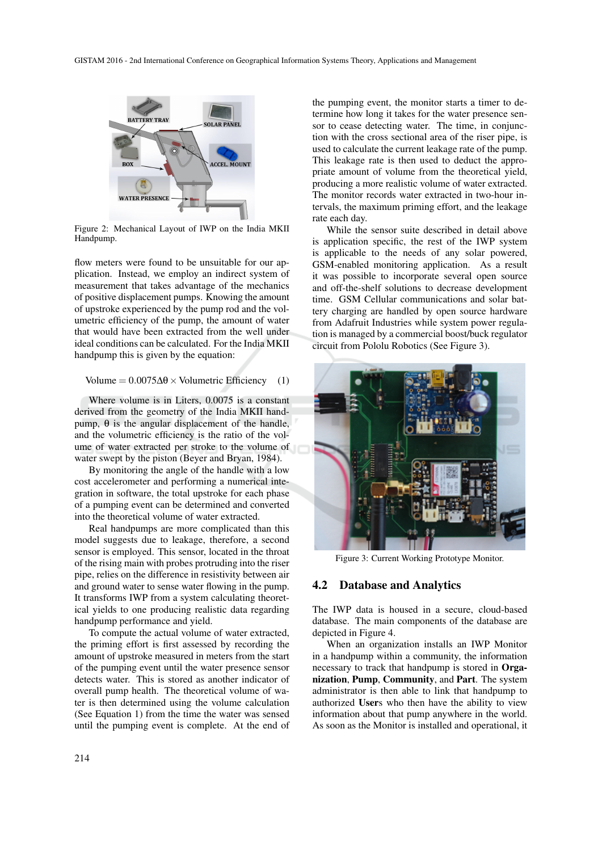

Figure 2: Mechanical Layout of IWP on the India MKII Handpump.

flow meters were found to be unsuitable for our application. Instead, we employ an indirect system of measurement that takes advantage of the mechanics of positive displacement pumps. Knowing the amount of upstroke experienced by the pump rod and the volumetric efficiency of the pump, the amount of water that would have been extracted from the well under ideal conditions can be calculated. For the India MKII handpump this is given by the equation:

#### Volume =  $0.0075\Delta\theta \times$  Volumetric Efficiency (1)

Where volume is in Liters, 0.0075 is a constant derived from the geometry of the India MKII handpump,  $θ$  is the angular displacement of the handle, and the volumetric efficiency is the ratio of the volume of water extracted per stroke to the volume of water swept by the piston (Beyer and Bryan, 1984).

By monitoring the angle of the handle with a low cost accelerometer and performing a numerical integration in software, the total upstroke for each phase of a pumping event can be determined and converted into the theoretical volume of water extracted.

Real handpumps are more complicated than this model suggests due to leakage, therefore, a second sensor is employed. This sensor, located in the throat of the rising main with probes protruding into the riser pipe, relies on the difference in resistivity between air and ground water to sense water flowing in the pump. It transforms IWP from a system calculating theoretical yields to one producing realistic data regarding handpump performance and yield.

To compute the actual volume of water extracted, the priming effort is first assessed by recording the amount of upstroke measured in meters from the start of the pumping event until the water presence sensor detects water. This is stored as another indicator of overall pump health. The theoretical volume of water is then determined using the volume calculation (See Equation 1) from the time the water was sensed until the pumping event is complete. At the end of

the pumping event, the monitor starts a timer to determine how long it takes for the water presence sensor to cease detecting water. The time, in conjunction with the cross sectional area of the riser pipe, is used to calculate the current leakage rate of the pump. This leakage rate is then used to deduct the appropriate amount of volume from the theoretical yield, producing a more realistic volume of water extracted. The monitor records water extracted in two-hour intervals, the maximum priming effort, and the leakage rate each day.

While the sensor suite described in detail above is application specific, the rest of the IWP system is applicable to the needs of any solar powered, GSM-enabled monitoring application. As a result it was possible to incorporate several open source and off-the-shelf solutions to decrease development time. GSM Cellular communications and solar battery charging are handled by open source hardware from Adafruit Industries while system power regulation is managed by a commercial boost/buck regulator circuit from Pololu Robotics (See Figure 3).



Figure 3: Current Working Prototype Monitor.

#### 4.2 Database and Analytics

The IWP data is housed in a secure, cloud-based database. The main components of the database are depicted in Figure 4.

When an organization installs an IWP Monitor in a handpump within a community, the information necessary to track that handpump is stored in Organization, Pump, Community, and Part. The system administrator is then able to link that handpump to authorized Users who then have the ability to view information about that pump anywhere in the world. As soon as the Monitor is installed and operational, it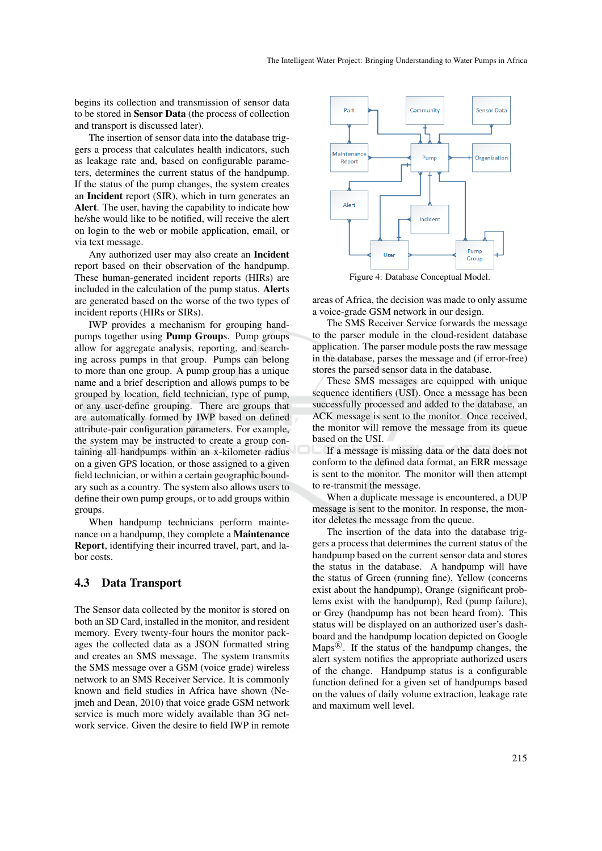begins its collection and transmission of sensor data to be stored in Sensor Data (the process of collection and transport is discussed later).

The insertion of sensor data into the database triggers a process that calculates health indicators, such as leakage rate and, based on configurable parameters, determines the current status of the handpump. If the status of the pump changes, the system creates an Incident report (SIR), which in turn generates an Alert. The user, having the capability to indicate how he/she would like to be notified, will receive the alert on login to the web or mobile application, email, or via text message.

Any authorized user may also create an Incident report based on their observation of the handpump. These human-generated incident reports (HIRs) are included in the calculation of the pump status. Alerts are generated based on the worse of the two types of incident reports (HIRs or SIRs).

IWP provides a mechanism for grouping handpumps together using Pump Groups. Pump groups allow for aggregate analysis, reporting, and searching across pumps in that group. Pumps can belong to more than one group. A pump group has a unique name and a brief description and allows pumps to be grouped by location, field technician, type of pump, or any user-define grouping. There are groups that are automatically formed by IWP based on defined attribute-pair configuration parameters. For example, the system may be instructed to create a group containing all handpumps within an x-kilometer radius on a given GPS location, or those assigned to a given field technician, or within a certain geographic boundary such as a country. The system also allows users to define their own pump groups, or to add groups within groups.

When handpump technicians perform maintenance on a handpump, they complete a Maintenance Report, identifying their incurred travel, part, and labor costs.

## 4.3 Data Transport

The Sensor data collected by the monitor is stored on both an SD Card, installed in the monitor, and resident memory. Every twenty-four hours the monitor packages the collected data as a JSON formatted string and creates an SMS message. The system transmits the SMS message over a GSM (voice grade) wireless network to an SMS Receiver Service. It is commonly known and field studies in Africa have shown (Nejmeh and Dean, 2010) that voice grade GSM network service is much more widely available than 3G network service. Given the desire to field IWP in remote



Figure 4: Database Conceptual Model.

areas of Africa, the decision was made to only assume a voice-grade GSM network in our design.

The SMS Receiver Service forwards the message to the parser module in the cloud-resident database application. The parser module posts the raw message in the database, parses the message and (if error-free) stores the parsed sensor data in the database.

These SMS messages are equipped with unique sequence identifiers (USI). Once a message has been successfully processed and added to the database, an ACK message is sent to the monitor. Once received, the monitor will remove the message from its queue based on the USI.

If a message is missing data or the data does not conform to the defined data format, an ERR message is sent to the monitor. The monitor will then attempt to re-transmit the message.

When a duplicate message is encountered, a DUP message is sent to the monitor. In response, the monitor deletes the message from the queue.

The insertion of the data into the database triggers a process that determines the current status of the handpump based on the current sensor data and stores the status in the database. A handpump will have the status of Green (running fine), Yellow (concerns exist about the handpump), Orange (significant problems exist with the handpump), Red (pump failure), or Grey (handpump has not been heard from). This status will be displayed on an authorized user's dashboard and the handpump location depicted on Google  $Maps^{(R)}$ . If the status of the handpump changes, the alert system notifies the appropriate authorized users of the change. Handpump status is a configurable function defined for a given set of handpumps based on the values of daily volume extraction, leakage rate and maximum well level.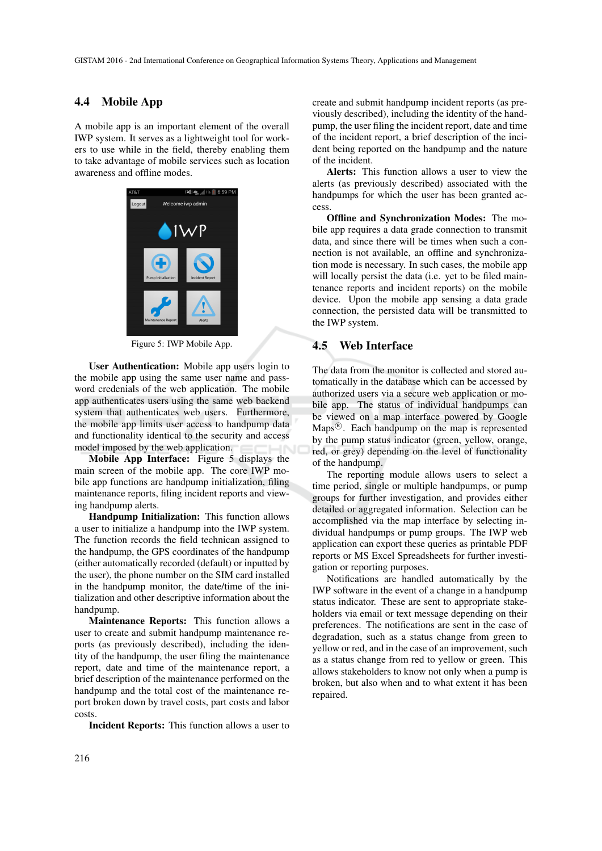## 4.4 Mobile App

A mobile app is an important element of the overall IWP system. It serves as a lightweight tool for workers to use while in the field, thereby enabling them to take advantage of mobile services such as location awareness and offline modes.



Figure 5: IWP Mobile App.

User Authentication: Mobile app users login to the mobile app using the same user name and password credenials of the web application. The mobile app authenticates users using the same web backend system that authenticates web users. Furthermore, the mobile app limits user access to handpump data and functionality identical to the security and access model imposed by the web application.

Mobile App Interface: Figure 5 displays the main screen of the mobile app. The core IWP mobile app functions are handpump initialization, filing maintenance reports, filing incident reports and viewing handpump alerts.

Handpump Initialization: This function allows a user to initialize a handpump into the IWP system. The function records the field technican assigned to the handpump, the GPS coordinates of the handpump (either automatically recorded (default) or inputted by the user), the phone number on the SIM card installed in the handpump monitor, the date/time of the initialization and other descriptive information about the handpump.

Maintenance Reports: This function allows a user to create and submit handpump maintenance reports (as previously described), including the identity of the handpump, the user filing the maintenance report, date and time of the maintenance report, a brief description of the maintenance performed on the handpump and the total cost of the maintenance report broken down by travel costs, part costs and labor costs.

Incident Reports: This function allows a user to

create and submit handpump incident reports (as previously described), including the identity of the handpump, the user filing the incident report, date and time of the incident report, a brief description of the incident being reported on the handpump and the nature of the incident.

Alerts: This function allows a user to view the alerts (as previously described) associated with the handpumps for which the user has been granted access.

Offline and Synchronization Modes: The mobile app requires a data grade connection to transmit data, and since there will be times when such a connection is not available, an offline and synchronization mode is necessary. In such cases, the mobile app will locally persist the data (i.e. yet to be filed maintenance reports and incident reports) on the mobile device. Upon the mobile app sensing a data grade connection, the persisted data will be transmitted to the IWP system.

### 4.5 Web Interface

The data from the monitor is collected and stored automatically in the database which can be accessed by authorized users via a secure web application or mobile app. The status of individual handpumps can be viewed on a map interface powered by Google  $Maps^{(R)}$ . Each handpump on the map is represented by the pump status indicator (green, yellow, orange, red, or grey) depending on the level of functionality of the handpump.

The reporting module allows users to select a time period, single or multiple handpumps, or pump groups for further investigation, and provides either detailed or aggregated information. Selection can be accomplished via the map interface by selecting individual handpumps or pump groups. The IWP web application can export these queries as printable PDF reports or MS Excel Spreadsheets for further investigation or reporting purposes.

Notifications are handled automatically by the IWP software in the event of a change in a handpump status indicator. These are sent to appropriate stakeholders via email or text message depending on their preferences. The notifications are sent in the case of degradation, such as a status change from green to yellow or red, and in the case of an improvement, such as a status change from red to yellow or green. This allows stakeholders to know not only when a pump is broken, but also when and to what extent it has been repaired.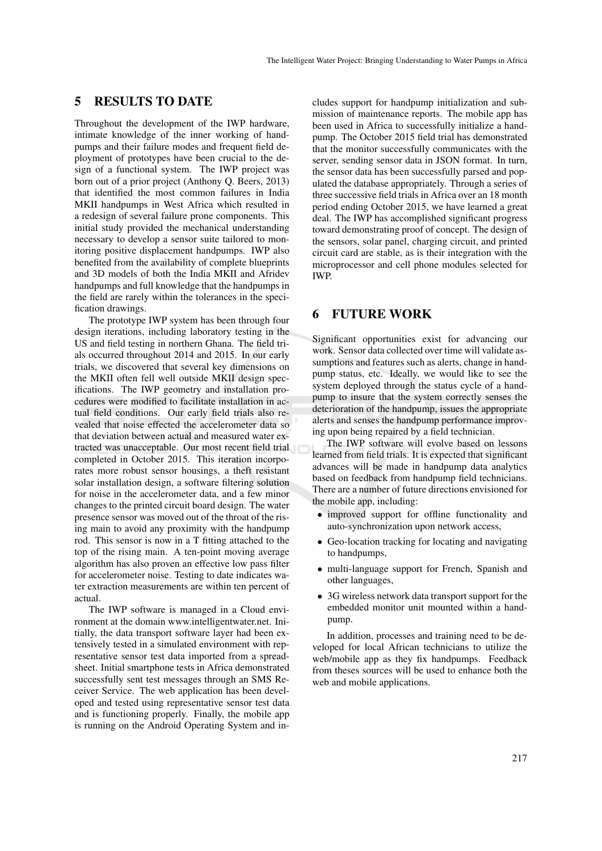# 5 RESULTS TO DATE

Throughout the development of the IWP hardware, intimate knowledge of the inner working of handpumps and their failure modes and frequent field deployment of prototypes have been crucial to the design of a functional system. The IWP project was born out of a prior project (Anthony Q. Beers, 2013) that identified the most common failures in India MKII handpumps in West Africa which resulted in a redesign of several failure prone components. This initial study provided the mechanical understanding necessary to develop a sensor suite tailored to monitoring positive displacement handpumps. IWP also benefited from the availability of complete blueprints and 3D models of both the India MKII and Afridev handpumps and full knowledge that the handpumps in the field are rarely within the tolerances in the specification drawings.

The prototype IWP system has been through four design iterations, including laboratory testing in the US and field testing in northern Ghana. The field trials occurred throughout 2014 and 2015. In our early trials, we discovered that several key dimensions on the MKII often fell well outside MKII design specifications. The IWP geometry and installation procedures were modified to facilitate installation in actual field conditions. Our early field trials also revealed that noise effected the accelerometer data so that deviation between actual and measured water extracted was unacceptable. Our most recent field trial completed in October 2015. This iteration incorporates more robust sensor housings, a theft resistant solar installation design, a software filtering solution for noise in the accelerometer data, and a few minor changes to the printed circuit board design. The water presence sensor was moved out of the throat of the rising main to avoid any proximity with the handpump rod. This sensor is now in a T fitting attached to the top of the rising main. A ten-point moving average algorithm has also proven an effective low pass filter for accelerometer noise. Testing to date indicates water extraction measurements are within ten percent of actual.

The IWP software is managed in a Cloud environment at the domain www.intelligentwater.net. Initially, the data transport software layer had been extensively tested in a simulated environment with representative sensor test data imported from a spreadsheet. Initial smartphone tests in Africa demonstrated successfully sent test messages through an SMS Receiver Service. The web application has been developed and tested using representative sensor test data and is functioning properly. Finally, the mobile app is running on the Android Operating System and includes support for handpump initialization and submission of maintenance reports. The mobile app has been used in Africa to successfully initialize a handpump. The October 2015 field trial has demonstrated that the monitor successfully communicates with the server, sending sensor data in JSON format. In turn, the sensor data has been successfully parsed and populated the database appropriately. Through a series of three successive field trials in Africa over an 18 month period ending October 2015, we have learned a great deal. The IWP has accomplished significant progress toward demonstrating proof of concept. The design of the sensors, solar panel, charging circuit, and printed circuit card are stable, as is their integration with the microprocessor and cell phone modules selected for IWP.

## 6 FUTURE WORK

Significant opportunities exist for advancing our work. Sensor data collected over time will validate assumptions and features such as alerts, change in handpump status, etc. Ideally, we would like to see the system deployed through the status cycle of a handpump to insure that the system correctly senses the deterioration of the handpump, issues the appropriate alerts and senses the handpump performance improving upon being repaired by a field technician.

The IWP software will evolve based on lessons learned from field trials. It is expected that significant advances will be made in handpump data analytics based on feedback from handpump field technicians. There are a number of future directions envisioned for the mobile app, including:

- improved support for offline functionality and auto-synchronization upon network access,
- Geo-location tracking for locating and navigating to handpumps,
- multi-language support for French, Spanish and other languages,
- 3G wireless network data transport support for the embedded monitor unit mounted within a handpump.

In addition, processes and training need to be developed for local African technicians to utilize the web/mobile app as they fix handpumps. Feedback from theses sources will be used to enhance both the web and mobile applications.